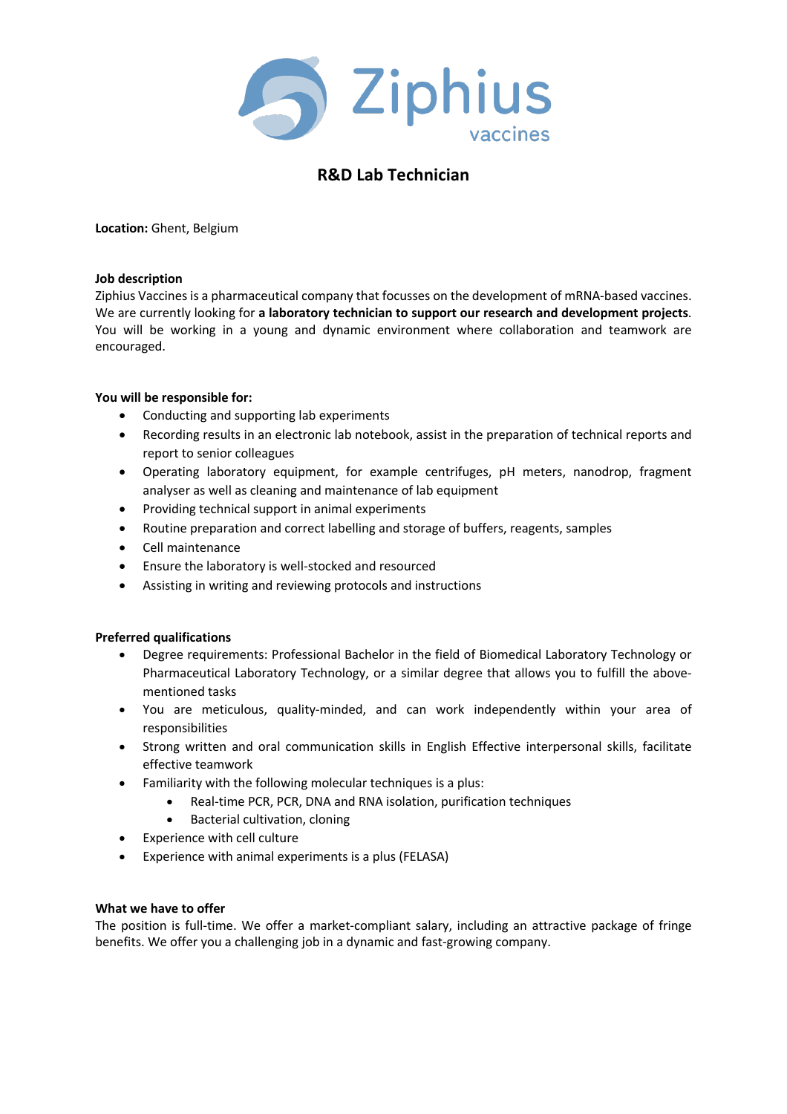

# **R&D Lab Technician**

**Location:** Ghent, Belgium

#### **Job description**

Ziphius Vaccines is a pharmaceutical company that focusses on the development of mRNA-based vaccines. We are currently looking for **a laboratory technician to support our research and development projects**. You will be working in a young and dynamic environment where collaboration and teamwork are encouraged.

## **You will be responsible for:**

- Conducting and supporting lab experiments
- Recording results in an electronic lab notebook, assist in the preparation of technical reports and report to senior colleagues
- Operating laboratory equipment, for example centrifuges, pH meters, nanodrop, fragment analyser as well as cleaning and maintenance of lab equipment
- Providing technical support in animal experiments
- Routine preparation and correct labelling and storage of buffers, reagents, samples
- Cell maintenance
- Ensure the laboratory is well-stocked and resourced
- Assisting in writing and reviewing protocols and instructions

## **Preferred qualifications**

- Degree requirements: Professional Bachelor in the field of Biomedical Laboratory Technology or Pharmaceutical Laboratory Technology, or a similar degree that allows you to fulfill the abovementioned tasks
- You are meticulous, quality-minded, and can work independently within your area of responsibilities
- Strong written and oral communication skills in English Effective interpersonal skills, facilitate effective teamwork
- Familiarity with the following molecular techniques is a plus:
	- Real-time PCR, PCR, DNA and RNA isolation, purification techniques
	- Bacterial cultivation, cloning
- Experience with cell culture
- Experience with animal experiments is a plus (FELASA)

## **What we have to offer**

The position is full-time. We offer a market-compliant salary, including an attractive package of fringe benefits. We offer you a challenging job in a dynamic and fast-growing company.